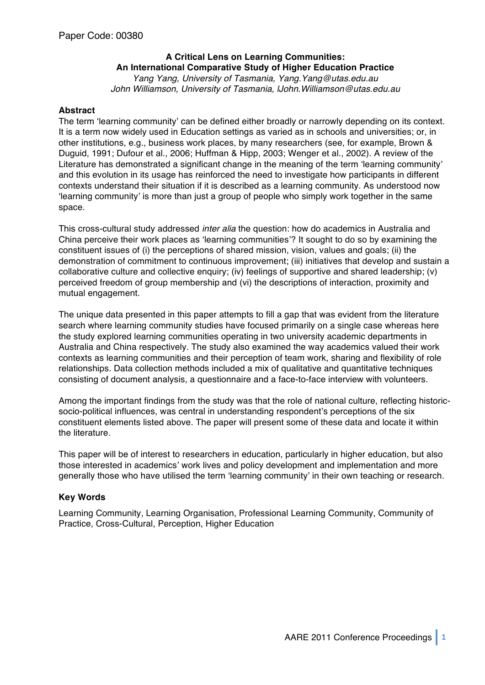# **A Critical Lens on Learning Communities: An International Comparative Study of Higher Education Practice**

*Yang Yang, University of Tasmania, Yang.Yang@utas.edu.au John Williamson, University of Tasmania, lJohn.Williamson@utas.edu.au*

## **Abstract**

The term ʻlearning community' can be defined either broadly or narrowly depending on its context. It is a term now widely used in Education settings as varied as in schools and universities; or, in other institutions, e.g., business work places, by many researchers (see, for example, Brown & Duguid, 1991; Dufour et al., 2006; Huffman & Hipp, 2003; Wenger et al., 2002). A review of the Literature has demonstrated a significant change in the meaning of the term ʻlearning community' and this evolution in its usage has reinforced the need to investigate how participants in different contexts understand their situation if it is described as a learning community. As understood now ʻlearning community' is more than just a group of people who simply work together in the same space.

This cross-cultural study addressed *inter alia* the question: how do academics in Australia and China perceive their work places as ʻlearning communities'? It sought to do so by examining the constituent issues of (i) the perceptions of shared mission, vision, values and goals; (ii) the demonstration of commitment to continuous improvement; (iii) initiatives that develop and sustain a collaborative culture and collective enquiry; (iv) feelings of supportive and shared leadership; (v) perceived freedom of group membership and (vi) the descriptions of interaction, proximity and mutual engagement.

The unique data presented in this paper attempts to fill a gap that was evident from the literature search where learning community studies have focused primarily on a single case whereas here the study explored learning communities operating in two university academic departments in Australia and China respectively. The study also examined the way academics valued their work contexts as learning communities and their perception of team work, sharing and flexibility of role relationships. Data collection methods included a mix of qualitative and quantitative techniques consisting of document analysis, a questionnaire and a face-to-face interview with volunteers.

Among the important findings from the study was that the role of national culture, reflecting historicsocio-political influences, was central in understanding respondent's perceptions of the six constituent elements listed above. The paper will present some of these data and locate it within the literature.

This paper will be of interest to researchers in education, particularly in higher education, but also those interested in academics' work lives and policy development and implementation and more generally those who have utilised the term ʻlearning community' in their own teaching or research.

## **Key Words**

Learning Community, Learning Organisation, Professional Learning Community, Community of Practice, Cross-Cultural, Perception, Higher Education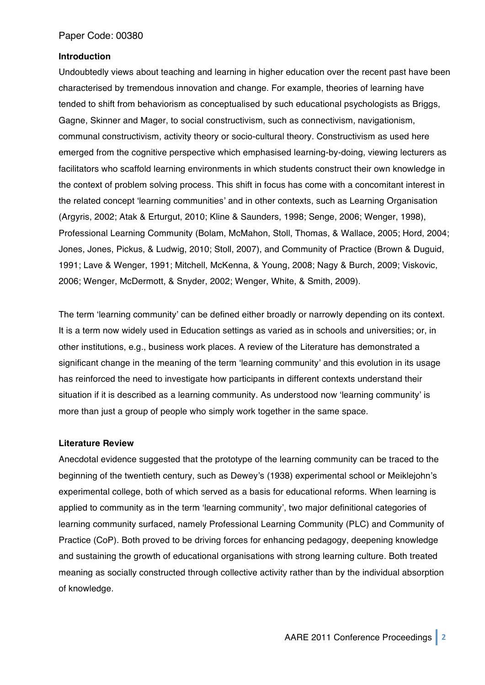#### **Introduction**

Undoubtedly views about teaching and learning in higher education over the recent past have been characterised by tremendous innovation and change. For example, theories of learning have tended to shift from behaviorism as conceptualised by such educational psychologists as Briggs, Gagne, Skinner and Mager, to social constructivism, such as connectivism, navigationism, communal constructivism, activity theory or socio-cultural theory. Constructivism as used here emerged from the cognitive perspective which emphasised learning-by-doing, viewing lecturers as facilitators who scaffold learning environments in which students construct their own knowledge in the context of problem solving process. This shift in focus has come with a concomitant interest in the related concept ʻlearning communities' and in other contexts, such as Learning Organisation (Argyris, 2002; Atak & Erturgut, 2010; Kline & Saunders, 1998; Senge, 2006; Wenger, 1998), Professional Learning Community (Bolam, McMahon, Stoll, Thomas, & Wallace, 2005; Hord, 2004; Jones, Jones, Pickus, & Ludwig, 2010; Stoll, 2007), and Community of Practice (Brown & Duguid, 1991; Lave & Wenger, 1991; Mitchell, McKenna, & Young, 2008; Nagy & Burch, 2009; Viskovic, 2006; Wenger, McDermott, & Snyder, 2002; Wenger, White, & Smith, 2009).

The term ʻlearning community' can be defined either broadly or narrowly depending on its context. It is a term now widely used in Education settings as varied as in schools and universities; or, in other institutions, e.g., business work places. A review of the Literature has demonstrated a significant change in the meaning of the term ʻlearning community' and this evolution in its usage has reinforced the need to investigate how participants in different contexts understand their situation if it is described as a learning community. As understood now ʻlearning community' is more than just a group of people who simply work together in the same space.

#### **Literature Review**

Anecdotal evidence suggested that the prototype of the learning community can be traced to the beginning of the twentieth century, such as Dewey's (1938) experimental school or Meiklejohn's experimental college, both of which served as a basis for educational reforms. When learning is applied to community as in the term ʻlearning community', two major definitional categories of learning community surfaced, namely Professional Learning Community (PLC) and Community of Practice (CoP). Both proved to be driving forces for enhancing pedagogy, deepening knowledge and sustaining the growth of educational organisations with strong learning culture. Both treated meaning as socially constructed through collective activity rather than by the individual absorption of knowledge.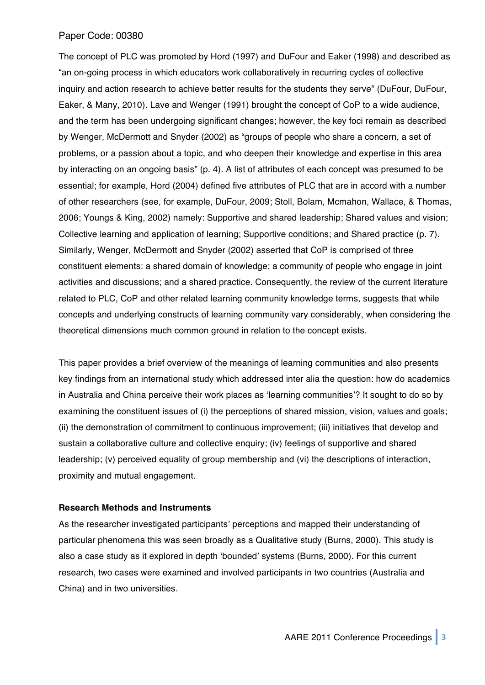The concept of PLC was promoted by Hord (1997) and DuFour and Eaker (1998) and described as "an on-going process in which educators work collaboratively in recurring cycles of collective inquiry and action research to achieve better results for the students they serve" (DuFour, DuFour, Eaker, & Many, 2010). Lave and Wenger (1991) brought the concept of CoP to a wide audience, and the term has been undergoing significant changes; however, the key foci remain as described by Wenger, McDermott and Snyder (2002) as "groups of people who share a concern, a set of problems, or a passion about a topic, and who deepen their knowledge and expertise in this area by interacting on an ongoing basis" (p. 4). A list of attributes of each concept was presumed to be essential; for example, Hord (2004) defined five attributes of PLC that are in accord with a number of other researchers (see, for example, DuFour, 2009; Stoll, Bolam, Mcmahon, Wallace, & Thomas, 2006; Youngs & King, 2002) namely: Supportive and shared leadership; Shared values and vision; Collective learning and application of learning; Supportive conditions; and Shared practice (p. 7). Similarly, Wenger, McDermott and Snyder (2002) asserted that CoP is comprised of three constituent elements: a shared domain of knowledge; a community of people who engage in joint activities and discussions; and a shared practice. Consequently, the review of the current literature related to PLC, CoP and other related learning community knowledge terms, suggests that while concepts and underlying constructs of learning community vary considerably, when considering the theoretical dimensions much common ground in relation to the concept exists.

This paper provides a brief overview of the meanings of learning communities and also presents key findings from an international study which addressed inter alia the question: how do academics in Australia and China perceive their work places as ʻlearning communities'? It sought to do so by examining the constituent issues of (i) the perceptions of shared mission, vision, values and goals; (ii) the demonstration of commitment to continuous improvement; (iii) initiatives that develop and sustain a collaborative culture and collective enquiry; (iv) feelings of supportive and shared leadership; (v) perceived equality of group membership and (vi) the descriptions of interaction, proximity and mutual engagement.

## **Research Methods and Instruments**

As the researcher investigated participants' perceptions and mapped their understanding of particular phenomena this was seen broadly as a Qualitative study (Burns, 2000). This study is also a case study as it explored in depth ʻbounded' systems (Burns, 2000). For this current research, two cases were examined and involved participants in two countries (Australia and China) and in two universities.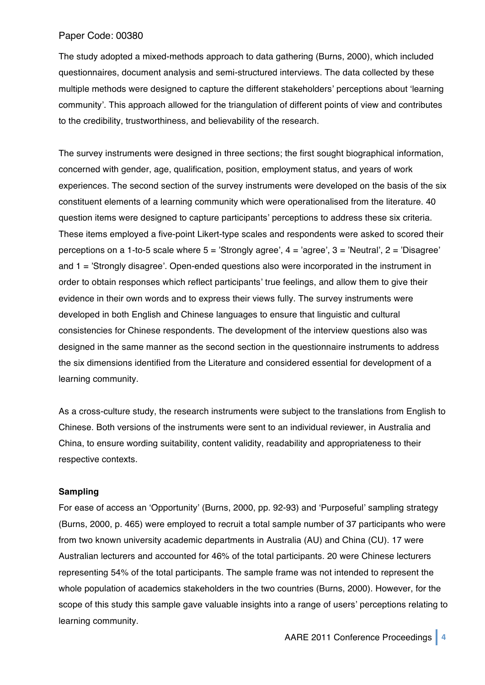The study adopted a mixed-methods approach to data gathering (Burns, 2000), which included questionnaires, document analysis and semi-structured interviews. The data collected by these multiple methods were designed to capture the different stakeholders' perceptions about ʻlearning community'. This approach allowed for the triangulation of different points of view and contributes to the credibility, trustworthiness, and believability of the research.

The survey instruments were designed in three sections; the first sought biographical information, concerned with gender, age, qualification, position, employment status, and years of work experiences. The second section of the survey instruments were developed on the basis of the six constituent elements of a learning community which were operationalised from the literature. 40 question items were designed to capture participants' perceptions to address these six criteria. These items employed a five-point Likert-type scales and respondents were asked to scored their perceptions on a 1-to-5 scale where  $5 =$  'Strongly agree',  $4 =$  'agree',  $3 =$  'Neutral',  $2 =$  'Disagree' and 1 = 'Strongly disagree'. Open-ended questions also were incorporated in the instrument in order to obtain responses which reflect participants' true feelings, and allow them to give their evidence in their own words and to express their views fully. The survey instruments were developed in both English and Chinese languages to ensure that linguistic and cultural consistencies for Chinese respondents. The development of the interview questions also was designed in the same manner as the second section in the questionnaire instruments to address the six dimensions identified from the Literature and considered essential for development of a learning community.

As a cross-culture study, the research instruments were subject to the translations from English to Chinese. Both versions of the instruments were sent to an individual reviewer, in Australia and China, to ensure wording suitability, content validity, readability and appropriateness to their respective contexts.

## **Sampling**

For ease of access an ʻOpportunity' (Burns, 2000, pp. 92-93) and ʻPurposeful' sampling strategy (Burns, 2000, p. 465) were employed to recruit a total sample number of 37 participants who were from two known university academic departments in Australia (AU) and China (CU). 17 were Australian lecturers and accounted for 46% of the total participants. 20 were Chinese lecturers representing 54% of the total participants. The sample frame was not intended to represent the whole population of academics stakeholders in the two countries (Burns, 2000). However, for the scope of this study this sample gave valuable insights into a range of users' perceptions relating to learning community.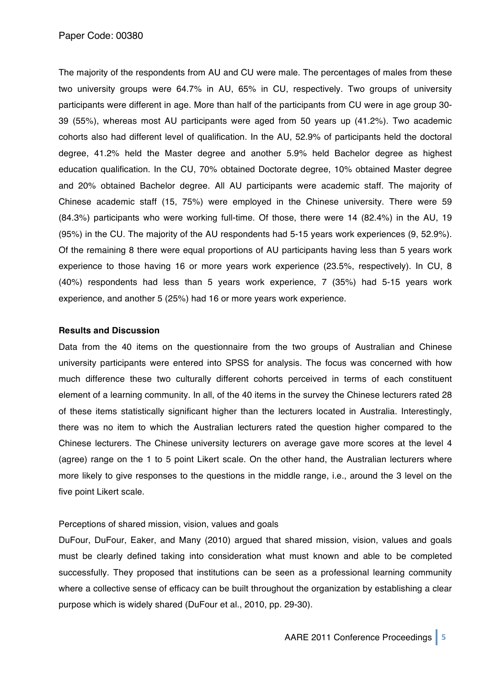The majority of the respondents from AU and CU were male. The percentages of males from these two university groups were 64.7% in AU, 65% in CU, respectively. Two groups of university participants were different in age. More than half of the participants from CU were in age group 30- 39 (55%), whereas most AU participants were aged from 50 years up (41.2%). Two academic cohorts also had different level of qualification. In the AU, 52.9% of participants held the doctoral degree, 41.2% held the Master degree and another 5.9% held Bachelor degree as highest education qualification. In the CU, 70% obtained Doctorate degree, 10% obtained Master degree and 20% obtained Bachelor degree. All AU participants were academic staff. The majority of Chinese academic staff (15, 75%) were employed in the Chinese university. There were 59 (84.3%) participants who were working full-time. Of those, there were 14 (82.4%) in the AU, 19 (95%) in the CU. The majority of the AU respondents had 5-15 years work experiences (9, 52.9%). Of the remaining 8 there were equal proportions of AU participants having less than 5 years work experience to those having 16 or more years work experience (23.5%, respectively). In CU, 8 (40%) respondents had less than 5 years work experience, 7 (35%) had 5-15 years work experience, and another 5 (25%) had 16 or more years work experience.

#### **Results and Discussion**

Data from the 40 items on the questionnaire from the two groups of Australian and Chinese university participants were entered into SPSS for analysis. The focus was concerned with how much difference these two culturally different cohorts perceived in terms of each constituent element of a learning community. In all, of the 40 items in the survey the Chinese lecturers rated 28 of these items statistically significant higher than the lecturers located in Australia. Interestingly, there was no item to which the Australian lecturers rated the question higher compared to the Chinese lecturers. The Chinese university lecturers on average gave more scores at the level 4 (agree) range on the 1 to 5 point Likert scale. On the other hand, the Australian lecturers where more likely to give responses to the questions in the middle range, i.e., around the 3 level on the five point Likert scale.

## Perceptions of shared mission, vision, values and goals

DuFour, DuFour, Eaker, and Many (2010) argued that shared mission, vision, values and goals must be clearly defined taking into consideration what must known and able to be completed successfully. They proposed that institutions can be seen as a professional learning community where a collective sense of efficacy can be built throughout the organization by establishing a clear purpose which is widely shared (DuFour et al., 2010, pp. 29-30).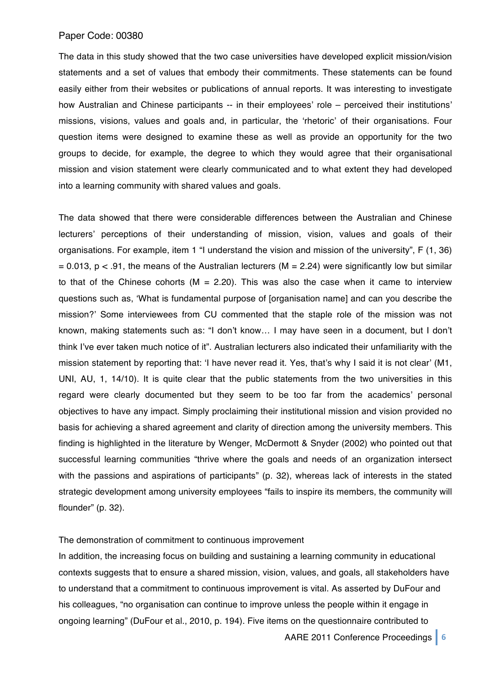The data in this study showed that the two case universities have developed explicit mission/vision statements and a set of values that embody their commitments. These statements can be found easily either from their websites or publications of annual reports. It was interesting to investigate how Australian and Chinese participants -- in their employees' role – perceived their institutions' missions, visions, values and goals and, in particular, the ʻrhetoric' of their organisations. Four question items were designed to examine these as well as provide an opportunity for the two groups to decide, for example, the degree to which they would agree that their organisational mission and vision statement were clearly communicated and to what extent they had developed into a learning community with shared values and goals.

The data showed that there were considerable differences between the Australian and Chinese lecturers' perceptions of their understanding of mission, vision, values and goals of their organisations. For example, item 1 "I understand the vision and mission of the university", F (1, 36)  $= 0.013$ , p < .91, the means of the Australian lecturers (M = 2.24) were significantly low but similar to that of the Chinese cohorts ( $M = 2.20$ ). This was also the case when it came to interview questions such as, ʻWhat is fundamental purpose of [organisation name] and can you describe the mission?' Some interviewees from CU commented that the staple role of the mission was not known, making statements such as: "I don't know… I may have seen in a document, but I don't think I've ever taken much notice of it". Australian lecturers also indicated their unfamiliarity with the mission statement by reporting that: ʻI have never read it. Yes, that's why I said it is not clear' (M1, UNI, AU, 1, 14/10). It is quite clear that the public statements from the two universities in this regard were clearly documented but they seem to be too far from the academics' personal objectives to have any impact. Simply proclaiming their institutional mission and vision provided no basis for achieving a shared agreement and clarity of direction among the university members. This finding is highlighted in the literature by Wenger, McDermott & Snyder (2002) who pointed out that successful learning communities "thrive where the goals and needs of an organization intersect with the passions and aspirations of participants" (p. 32), whereas lack of interests in the stated strategic development among university employees "fails to inspire its members, the community will flounder" (p. 32).

#### The demonstration of commitment to continuous improvement

In addition, the increasing focus on building and sustaining a learning community in educational contexts suggests that to ensure a shared mission, vision, values, and goals, all stakeholders have to understand that a commitment to continuous improvement is vital. As asserted by DuFour and his colleagues, "no organisation can continue to improve unless the people within it engage in ongoing learning" (DuFour et al., 2010, p. 194). Five items on the questionnaire contributed to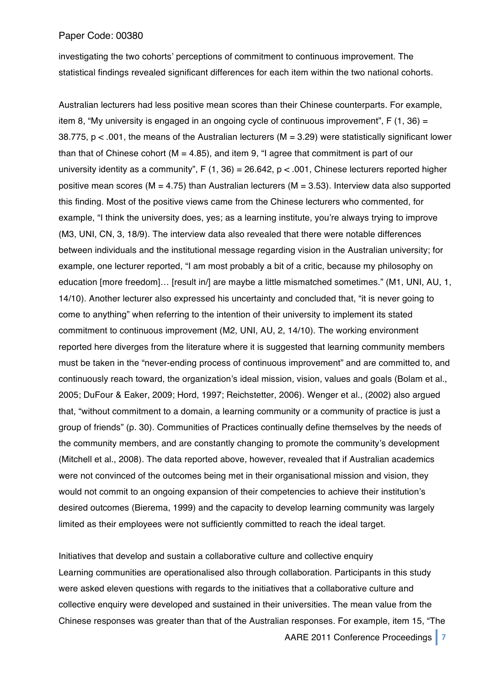investigating the two cohorts' perceptions of commitment to continuous improvement. The statistical findings revealed significant differences for each item within the two national cohorts.

Australian lecturers had less positive mean scores than their Chinese counterparts. For example, item 8, "My university is engaged in an ongoing cycle of continuous improvement",  $F(1, 36) =$ 38.775, p < .001, the means of the Australian lecturers (M = 3.29) were statistically significant lower than that of Chinese cohort ( $M = 4.85$ ), and item 9, "I agree that commitment is part of our university identity as a community", F (1, 36) = 26.642,  $p < .001$ , Chinese lecturers reported higher positive mean scores ( $M = 4.75$ ) than Australian lecturers ( $M = 3.53$ ). Interview data also supported this finding. Most of the positive views came from the Chinese lecturers who commented, for example, "I think the university does, yes; as a learning institute, you're always trying to improve (M3, UNI, CN, 3, 18/9). The interview data also revealed that there were notable differences between individuals and the institutional message regarding vision in the Australian university; for example, one lecturer reported, "I am most probably a bit of a critic, because my philosophy on education [more freedom]... [result in/] are maybe a little mismatched sometimes." (M1, UNI, AU, 1, 14/10). Another lecturer also expressed his uncertainty and concluded that, "it is never going to come to anything" when referring to the intention of their university to implement its stated commitment to continuous improvement (M2, UNI, AU, 2, 14/10). The working environment reported here diverges from the literature where it is suggested that learning community members must be taken in the "never-ending process of continuous improvement" and are committed to, and continuously reach toward, the organization's ideal mission, vision, values and goals (Bolam et al., 2005; DuFour & Eaker, 2009; Hord, 1997; Reichstetter, 2006). Wenger et al., (2002) also argued that, "without commitment to a domain, a learning community or a community of practice is just a group of friends" (p. 30). Communities of Practices continually define themselves by the needs of the community members, and are constantly changing to promote the community's development (Mitchell et al., 2008). The data reported above, however, revealed that if Australian academics were not convinced of the outcomes being met in their organisational mission and vision, they would not commit to an ongoing expansion of their competencies to achieve their institution's desired outcomes (Bierema, 1999) and the capacity to develop learning community was largely limited as their employees were not sufficiently committed to reach the ideal target.

Initiatives that develop and sustain a collaborative culture and collective enquiry Learning communities are operationalised also through collaboration. Participants in this study were asked eleven questions with regards to the initiatives that a collaborative culture and collective enquiry were developed and sustained in their universities. The mean value from the Chinese responses was greater than that of the Australian responses. For example, item 15, "The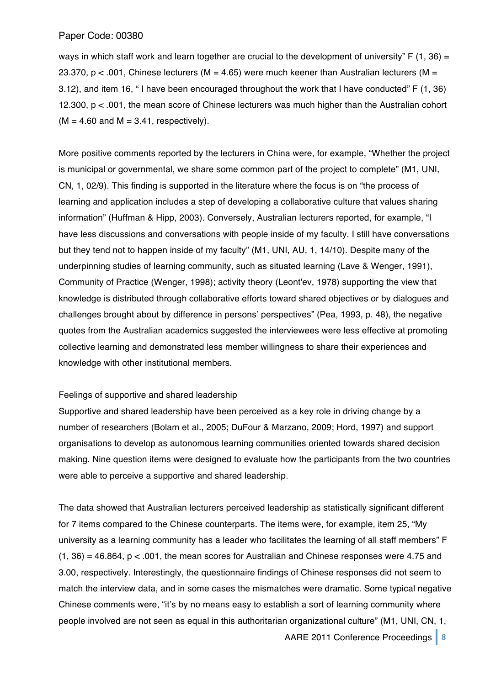ways in which staff work and learn together are crucial to the development of university"  $F(1, 36) =$ 23.370,  $p < .001$ , Chinese lecturers (M = 4.65) were much keener than Australian lecturers (M = 3.12), and item 16, " I have been encouraged throughout the work that I have conducted" F (1, 36) 12.300, p < .001, the mean score of Chinese lecturers was much higher than the Australian cohort  $(M = 4.60$  and  $M = 3.41$ , respectively).

More positive comments reported by the lecturers in China were, for example, "Whether the project is municipal or governmental, we share some common part of the project to complete" (M1, UNI, CN, 1, 02/9). This finding is supported in the literature where the focus is on "the process of learning and application includes a step of developing a collaborative culture that values sharing information" (Huffman & Hipp, 2003). Conversely, Australian lecturers reported, for example, "I have less discussions and conversations with people inside of my faculty. I still have conversations but they tend not to happen inside of my faculty" (M1, UNI, AU, 1, 14/10). Despite many of the underpinning studies of learning community, such as situated learning (Lave & Wenger, 1991), Community of Practice (Wenger, 1998); activity theory (Leont'ev, 1978) supporting the view that knowledge is distributed through collaborative efforts toward shared objectives or by dialogues and challenges brought about by difference in persons' perspectives" (Pea, 1993, p. 48), the negative quotes from the Australian academics suggested the interviewees were less effective at promoting collective learning and demonstrated less member willingness to share their experiences and knowledge with other institutional members.

## Feelings of supportive and shared leadership

Supportive and shared leadership have been perceived as a key role in driving change by a number of researchers (Bolam et al., 2005; DuFour & Marzano, 2009; Hord, 1997) and support organisations to develop as autonomous learning communities oriented towards shared decision making. Nine question items were designed to evaluate how the participants from the two countries were able to perceive a supportive and shared leadership.

The data showed that Australian lecturers perceived leadership as statistically significant different for 7 items compared to the Chinese counterparts. The items were, for example, item 25, "My university as a learning community has a leader who facilitates the learning of all staff members" F  $(1, 36) = 46.864$ ,  $p < .001$ , the mean scores for Australian and Chinese responses were 4.75 and 3.00, respectively. Interestingly, the questionnaire findings of Chinese responses did not seem to match the interview data, and in some cases the mismatches were dramatic. Some typical negative Chinese comments were, "it's by no means easy to establish a sort of learning community where people involved are not seen as equal in this authoritarian organizational culture" (M1, UNI, CN, 1,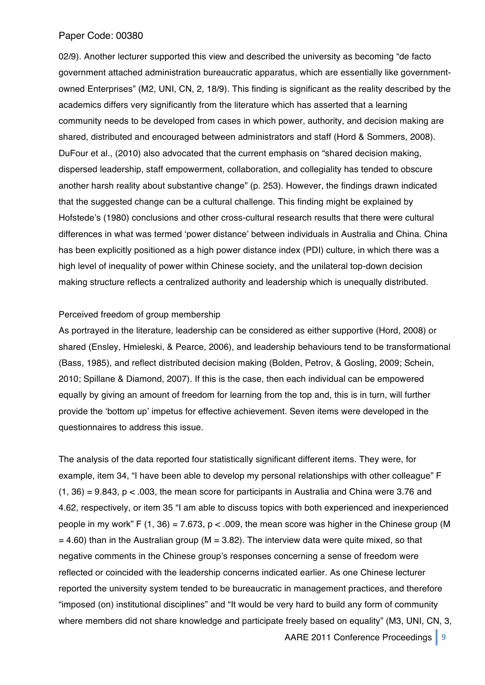02/9). Another lecturer supported this view and described the university as becoming "de facto government attached administration bureaucratic apparatus, which are essentially like governmentowned Enterprises" (M2, UNI, CN, 2, 18/9). This finding is significant as the reality described by the academics differs very significantly from the literature which has asserted that a learning community needs to be developed from cases in which power, authority, and decision making are shared, distributed and encouraged between administrators and staff (Hord & Sommers, 2008). DuFour et al., (2010) also advocated that the current emphasis on "shared decision making, dispersed leadership, staff empowerment, collaboration, and collegiality has tended to obscure another harsh reality about substantive change" (p. 253). However, the findings drawn indicated that the suggested change can be a cultural challenge. This finding might be explained by Hofstede's (1980) conclusions and other cross-cultural research results that there were cultural differences in what was termed ʻpower distance' between individuals in Australia and China. China has been explicitly positioned as a high power distance index (PDI) culture, in which there was a high level of inequality of power within Chinese society, and the unilateral top-down decision making structure reflects a centralized authority and leadership which is unequally distributed.

#### Perceived freedom of group membership

As portrayed in the literature, leadership can be considered as either supportive (Hord, 2008) or shared (Ensley, Hmieleski, & Pearce, 2006), and leadership behaviours tend to be transformational (Bass, 1985), and reflect distributed decision making (Bolden, Petrov, & Gosling, 2009; Schein, 2010; Spillane & Diamond, 2007). If this is the case, then each individual can be empowered equally by giving an amount of freedom for learning from the top and, this is in turn, will further provide the ʻbottom up' impetus for effective achievement. Seven items were developed in the questionnaires to address this issue.

The analysis of the data reported four statistically significant different items. They were, for example, item 34, "I have been able to develop my personal relationships with other colleague" F  $(1, 36) = 9.843$ ,  $p < .003$ , the mean score for participants in Australia and China were 3.76 and 4.62, respectively, or item 35 "I am able to discuss topics with both experienced and inexperienced people in my work" F (1, 36) = 7.673,  $p < .009$ , the mean score was higher in the Chinese group (M  $= 4.60$ ) than in the Australian group (M = 3.82). The interview data were quite mixed, so that negative comments in the Chinese group's responses concerning a sense of freedom were reflected or coincided with the leadership concerns indicated earlier. As one Chinese lecturer reported the university system tended to be bureaucratic in management practices, and therefore "imposed (on) institutional disciplines" and "It would be very hard to build any form of community where members did not share knowledge and participate freely based on equality" (M3, UNI, CN, 3,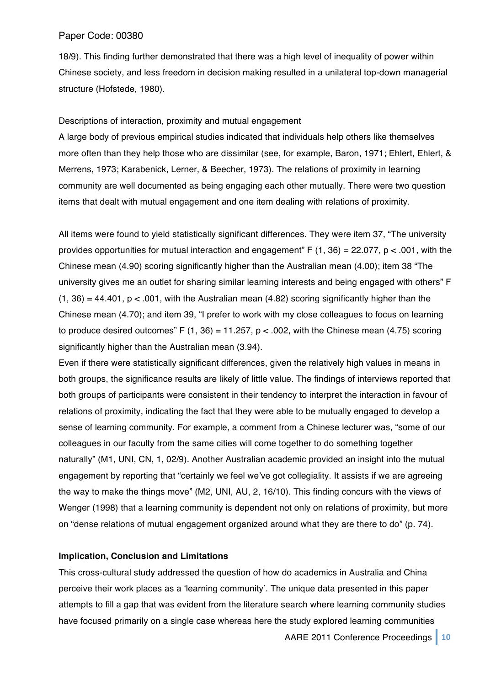18/9). This finding further demonstrated that there was a high level of inequality of power within Chinese society, and less freedom in decision making resulted in a unilateral top-down managerial structure (Hofstede, 1980).

#### Descriptions of interaction, proximity and mutual engagement

A large body of previous empirical studies indicated that individuals help others like themselves more often than they help those who are dissimilar (see, for example, Baron, 1971; Ehlert, Ehlert, & Merrens, 1973; Karabenick, Lerner, & Beecher, 1973). The relations of proximity in learning community are well documented as being engaging each other mutually. There were two question items that dealt with mutual engagement and one item dealing with relations of proximity.

All items were found to yield statistically significant differences. They were item 37, "The university provides opportunities for mutual interaction and engagement"  $F(1, 36) = 22.077$ ,  $p < .001$ , with the Chinese mean (4.90) scoring significantly higher than the Australian mean (4.00); item 38 "The university gives me an outlet for sharing similar learning interests and being engaged with others" F  $(1, 36) = 44.401$ ,  $p < .001$ , with the Australian mean (4.82) scoring significantly higher than the Chinese mean (4.70); and item 39, "I prefer to work with my close colleagues to focus on learning to produce desired outcomes" F  $(1, 36) = 11.257$ ,  $p < .002$ , with the Chinese mean (4.75) scoring significantly higher than the Australian mean (3.94).

Even if there were statistically significant differences, given the relatively high values in means in both groups, the significance results are likely of little value. The findings of interviews reported that both groups of participants were consistent in their tendency to interpret the interaction in favour of relations of proximity, indicating the fact that they were able to be mutually engaged to develop a sense of learning community. For example, a comment from a Chinese lecturer was, "some of our colleagues in our faculty from the same cities will come together to do something together naturally" (M1, UNI, CN, 1, 02/9). Another Australian academic provided an insight into the mutual engagement by reporting that "certainly we feel we've got collegiality. It assists if we are agreeing the way to make the things move" (M2, UNI, AU, 2, 16/10). This finding concurs with the views of Wenger (1998) that a learning community is dependent not only on relations of proximity, but more on "dense relations of mutual engagement organized around what they are there to do" (p. 74).

## **Implication, Conclusion and Limitations**

This cross-cultural study addressed the question of how do academics in Australia and China perceive their work places as a ʻlearning community'. The unique data presented in this paper attempts to fill a gap that was evident from the literature search where learning community studies have focused primarily on a single case whereas here the study explored learning communities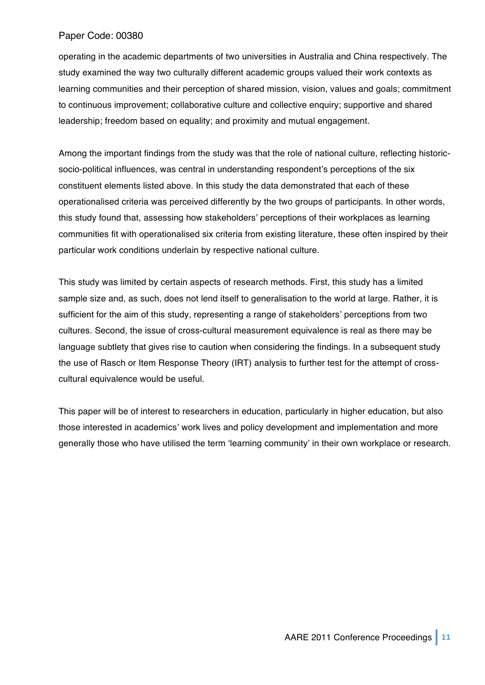operating in the academic departments of two universities in Australia and China respectively. The study examined the way two culturally different academic groups valued their work contexts as learning communities and their perception of shared mission, vision, values and goals; commitment to continuous improvement; collaborative culture and collective enquiry; supportive and shared leadership; freedom based on equality; and proximity and mutual engagement.

Among the important findings from the study was that the role of national culture, reflecting historicsocio-political influences, was central in understanding respondent's perceptions of the six constituent elements listed above. In this study the data demonstrated that each of these operationalised criteria was perceived differently by the two groups of participants. In other words, this study found that, assessing how stakeholders' perceptions of their workplaces as learning communities fit with operationalised six criteria from existing literature, these often inspired by their particular work conditions underlain by respective national culture.

This study was limited by certain aspects of research methods. First, this study has a limited sample size and, as such, does not lend itself to generalisation to the world at large. Rather, it is sufficient for the aim of this study, representing a range of stakeholders' perceptions from two cultures. Second, the issue of cross-cultural measurement equivalence is real as there may be language subtlety that gives rise to caution when considering the findings. In a subsequent study the use of Rasch or Item Response Theory (IRT) analysis to further test for the attempt of crosscultural equivalence would be useful.

This paper will be of interest to researchers in education, particularly in higher education, but also those interested in academics' work lives and policy development and implementation and more generally those who have utilised the term ʻlearning community' in their own workplace or research.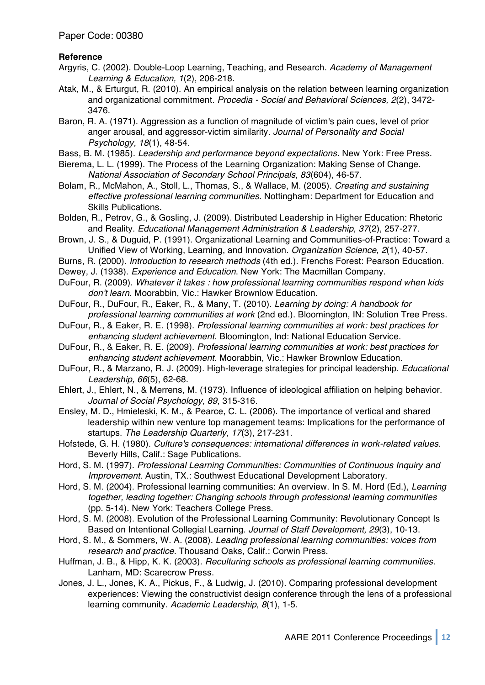## **Reference**

- Argyris, C. (2002). Double-Loop Learning, Teaching, and Research. *Academy of Management Learning & Education, 1*(2), 206-218.
- Atak, M., & Erturgut, R. (2010). An empirical analysis on the relation between learning organization and organizational commitment. *Procedia - Social and Behavioral Sciences, 2*(2), 3472- 3476.
- Baron, R. A. (1971). Aggression as a function of magnitude of victim's pain cues, level of prior anger arousal, and aggressor-victim similarity. *Journal of Personality and Social Psychology, 18*(1), 48-54.
- Bass, B. M. (1985). *Leadership and performance beyond expectations*. New York: Free Press.
- Bierema, L. L. (1999). The Process of the Learning Organization: Making Sense of Change. *National Association of Secondary School Principals, 83*(604), 46-57.
- Bolam, R., McMahon, A., Stoll, L., Thomas, S., & Wallace, M. (2005). *Creating and sustaining effective professional learning communities*. Nottingham: Department for Education and Skills Publications.
- Bolden, R., Petrov, G., & Gosling, J. (2009). Distributed Leadership in Higher Education: Rhetoric and Reality. *Educational Management Administration & Leadership, 37*(2), 257-277.
- Brown, J. S., & Duguid, P. (1991). Organizational Learning and Communities-of-Practice: Toward a Unified View of Working, Learning, and Innovation. *Organization Science, 2*(1), 40-57.
- Burns, R. (2000). *Introduction to research methods* (4th ed.). Frenchs Forest: Pearson Education.
- Dewey, J. (1938). *Experience and Education*. New York: The Macmillan Company.
- DuFour, R. (2009). *Whatever it takes : how professional learning communities respond when kids don't learn*. Moorabbin, Vic.: Hawker Brownlow Education.
- DuFour, R., DuFour, R., Eaker, R., & Many, T. (2010). *Learning by doing: A handbook for professional learning communities at work* (2nd ed.). Bloomington, IN: Solution Tree Press.
- DuFour, R., & Eaker, R. E. (1998). *Professional learning communities at work: best practices for enhancing student achievement*. Bloomington, Ind: National Education Service.
- DuFour, R., & Eaker, R. E. (2009). *Professional learning communities at work: best practices for enhancing student achievement*. Moorabbin, Vic.: Hawker Brownlow Education.
- DuFour, R., & Marzano, R. J. (2009). High-leverage strategies for principal leadership. *Educational Leadership, 66*(5), 62-68.
- Ehlert, J., Ehlert, N., & Merrens, M. (1973). Influence of ideological affiliation on helping behavior. *Journal of Social Psychology, 89*, 315-316.
- Ensley, M. D., Hmieleski, K. M., & Pearce, C. L. (2006). The importance of vertical and shared leadership within new venture top management teams: Implications for the performance of startups. *The Leadership Quarterly, 17*(3), 217-231.
- Hofstede, G. H. (1980). *Culture's consequences: international differences in work-related values*. Beverly Hills, Calif.: Sage Publications.
- Hord, S. M. (1997). *Professional Learning Communities: Communities of Continuous Inquiry and Improvement*. Austin, TX.: Southwest Educational Development Laboratory.
- Hord, S. M. (2004). Professional learning communities: An overview. In S. M. Hord (Ed.), *Learning together, leading together: Changing schools through professional learning communities* (pp. 5-14). New York: Teachers College Press.
- Hord, S. M. (2008). Evolution of the Professional Learning Community: Revolutionary Concept Is Based on Intentional Collegial Learning. *Journal of Staff Development, 29*(3), 10-13.
- Hord, S. M., & Sommers, W. A. (2008). *Leading professional learning communities: voices from research and practice*. Thousand Oaks, Calif.: Corwin Press.
- Huffman, J. B., & Hipp, K. K. (2003). *Reculturing schools as professional learning communities*. Lanham, MD: Scarecrow Press.
- Jones, J. L., Jones, K. A., Pickus, F., & Ludwig, J. (2010). Comparing professional development experiences: Viewing the constructivist design conference through the lens of a professional learning community. *Academic Leadership, 8*(1), 1-5.